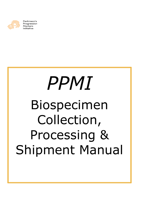

Parkinson's Progression Markers Initiative

# *PPMI* Biospecimen Collection, Processing & Shipment Manual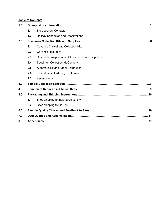# **Table of Contents**

| 1.0 |     |                                                   |  |  |  |  |  |  |  |  |  |
|-----|-----|---------------------------------------------------|--|--|--|--|--|--|--|--|--|
|     | 1.1 | <b>Biorepository Contacts</b>                     |  |  |  |  |  |  |  |  |  |
|     | 1.2 | <b>Holiday Schedules and Observations</b>         |  |  |  |  |  |  |  |  |  |
| 2.0 |     |                                                   |  |  |  |  |  |  |  |  |  |
|     | 2.1 | <b>Covance Clinical Lab Collection Kits</b>       |  |  |  |  |  |  |  |  |  |
|     | 2.2 | <b>Covance Resupply</b>                           |  |  |  |  |  |  |  |  |  |
|     | 2.3 | Research Biospecimen Collection Kits and Supplies |  |  |  |  |  |  |  |  |  |
|     | 2.4 | <b>Specimen Collection Kit Contents</b>           |  |  |  |  |  |  |  |  |  |
|     | 2.5 | Automatic Kit and Label Distribution              |  |  |  |  |  |  |  |  |  |
|     | 2.6 | Kit and Label Ordering on Demand                  |  |  |  |  |  |  |  |  |  |
|     | 2.7 | Assessments                                       |  |  |  |  |  |  |  |  |  |
| 3.0 |     |                                                   |  |  |  |  |  |  |  |  |  |
| 4.0 |     |                                                   |  |  |  |  |  |  |  |  |  |
| 5.0 |     |                                                   |  |  |  |  |  |  |  |  |  |
|     | 5.1 | Sites shipping to Indiana University              |  |  |  |  |  |  |  |  |  |
|     | 5.2 | Sites shipping to BioRep                          |  |  |  |  |  |  |  |  |  |
| 6.0 |     |                                                   |  |  |  |  |  |  |  |  |  |
| 7.0 |     |                                                   |  |  |  |  |  |  |  |  |  |
| 8.0 |     |                                                   |  |  |  |  |  |  |  |  |  |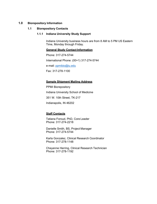# **1.0 Biorepository Information**

### **1.1 Biorepository Contacts**

### **1.1.1 Indiana University Study Support**

Indiana University business hours are from 8 AM to 5 PM US Eastern Time, Monday through Friday.

**General Study Contact Information**

Phone: 317-274-5744 International Phone: (00+1) 317-274-5744 e-mail: [ppmibio@iu.edu](mailto:ppmibio@iu.edu) Fax: 317-278-1100

### **Sample Shipment Mailing Address**

PPMI Biorepository Indiana University School of Medicine 351 W. 10th Street, TK-217 Indianapolis, IN 46202

# **Staff Contacts**

Tatiana Foroud, PhD, Core Leader Phone: 317-274-2218

Danielle Smith, BS, Project Manager Phone: 317-274-5744

Karla Gonzalez, Clinical Research Coordinator Phone: 317-278-1148

Cheyenne Herring, Clinical Research Technician Phone: 317-278-1192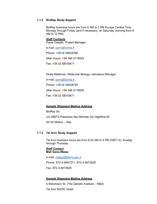### **1.1.2 BioRep Study Support**

BioRep business hours are from 8 AM to 7 PM Europe Central Time, Monday through Friday (and if necessary, on Saturday morning from 8 AM to 12 PM).

### **Staff Contacts**

Paola Casalin, Project Manager

e-mail: [ppmi@biorep.it](mailto:ppmi@biorep.it)

Phone: +39 02 58029768

After Hours: +39 348 0716024

Fax: +39 02 58018471

Giulia Malferrari, Molecular Biology Laboratory Manager

e-mail: [ppmi@biorep.it](mailto:ppmi@biorep.it)

Phone: +39 02 58029725

After Hours: +39 348 0716025

Fax: +39 02 58018471

# **Sample Shipment Mailing Address**

BioRep Srl c/o DIBIT2 Palazzina San Michele Via Olgettina 60 20132 Milano – Italy

# **1.1.3 Tel Aviv Study Support**

Tel Aviv business hours are from 8:30 AM to 5 PM (GMT+2), Sunday through Thursday.

### **Staff Contact Mali Gana-Weisz**

e-mail: [maligw@tlvmc.gov.il](mailto:maligw@tlvmc.gov.il)

Phone: 972-3-6947271, 972-3-6973628

Fax: 972-3-6973628

# **Sample Shipment Mailing Address**

6 Weizmann St. (The Genetic Institute – R&D) Tel Aviv 64239, Israel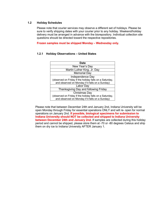## **1.2 Holiday Schedules**

Please note that courier services may observe a different set of holidays. Please be sure to verify shipping dates with your courier prior to any holiday. Weekend/holiday delivery must be arranged in advance with the biorepository. Individual collection site questions should be directed toward the respective repositories.

**Frozen samples must be shipped Monday – Wednesday only.**

# **1.2.1 Holiday Observations – United States**

| <b>Date</b>                                             |
|---------------------------------------------------------|
| New Year's Day                                          |
| Martin Luther King, Jr. Day                             |
| <b>Memorial Day</b>                                     |
| Independence Day                                        |
| (observed on Friday if the holiday falls on a Saturday, |
| and observed on Monday if it falls on a Sunday)         |
| Labor Day                                               |
| Thanksgiving Day and following Friday                   |
| Christmas Day                                           |
| (observed on Friday if the holiday falls on a Saturday, |
| and observed on Monday if it falls on a Sunday)         |

Please note that between December 24th and January 2nd, Indiana University will be open Monday through Friday for essential operations ONLY and will re- open for normal operations on January 2nd. **If possible, biological specimens for submission to Indiana University should NOT be collected and shipped to Indiana University between December 24th and January 2nd.** If samples are collected during this holiday period and cannot be shipped, please store them at -70 or -80 degrees Celsius and ship them on dry ice to Indiana University AFTER January 1.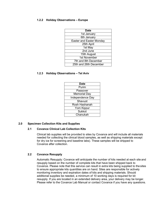## **1.2.2 Holiday Observations – Europe**

| <b>Date</b>                     |
|---------------------------------|
| 1st January                     |
| 6th January                     |
| <b>Easter and Easter Monday</b> |
| 25th April                      |
| 1st May                         |
| 2nd June                        |
| 15th August                     |
| 1st November                    |
| 7th and 8th December            |
| 25th and 26th December          |

# **1.2.3 Holiday Observations – Tel Aviv**

| <b>Date</b>      |
|------------------|
| Purim            |
| Passover         |
| Memorial Day     |
| Independence Day |
| Shavuot          |
| Rosh Hashanah    |
| Yom Kippur       |
| Sukkot           |
| Chanukah         |

# **2.0 Specimen Collection Kits and Supplies**

# **2.1 Covance Clinical Lab Collection Kits**

Clinical lab supplies will be provided to sites by Covance and will include all materials needed for collecting the clinical blood samples, as well as shipping materials except for dry ice for screening and baseline labs). These samples will be shipped to Covance after collection.

# **2.2 Covance Resupply**

Automatic Resupply: Covance will anticipate the number of kits needed at each site and resupply based on the number of complete kits that have been shipped back to Covance. Please note that this service can result in extra kits being supplied to the sites to ensure appropriate kits quantities are on hand. Sites are responsible for actively monitoring inventory and expiration dates of kits and shipping materials. Should additional supplies be needed, a minimum of 10 working days is required for kit resupply. If you are located in an extended delivery area, your delivery may be longer. Please refer to the Covance Lab Manual or contact Covance if you have any questions.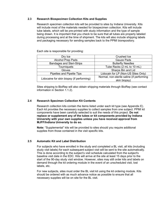# **2.3 Research Biospecimen Collection Kits and Supplies**

Research specimen collection kits will be provided to sites by Indiana University. Kits will include most of the materials needed for biospecimen collection. Kits will include tube labels, which will be pre-printed with study information and the type of sample being drawn. It is important that you check to be sure that all tubes are properly labeled during processing and at the time of shipment. The kits will also include shipping labels and packaging necessary for sending samples back to the PPMI biorepository.

Each site is responsible for providing:

| Dry Ice                                   | <b>Crushed Ice</b>                        |  |  |  |  |  |
|-------------------------------------------|-------------------------------------------|--|--|--|--|--|
| <b>Alcohol Prep Pads</b>                  | Gauze Pads                                |  |  |  |  |  |
| <b>Bandages and Steri-Strips</b>          | <b>Butterfly Needles</b>                  |  |  |  |  |  |
| <b>Tourniquets</b>                        | Tube Racks (2 mL to 10 mL)                |  |  |  |  |  |
| Gloves                                    | Sharps Bin and Lid                        |  |  |  |  |  |
| Pipettes and Pipette Tips                 | Lidocain for LP (Non-US Sites Only)       |  |  |  |  |  |
| Lidocaine for skin biopsy (if performing) | Normal, non-sterile saline (if performing |  |  |  |  |  |
|                                           | skin biopsy)                              |  |  |  |  |  |

Sites shipping to BioRep will also obtain shipping materials through BioRep (see contact information in Section 1.1.2).

# **2.4 Research Specimen Collection Kit Contents**

Research collection kits contain the items listed under each kit type (see Appendix E). Each kit provides the necessary supplies to collect samples from one subject. PPMI kit components have been carefully selected to suit the needs of this project. **Do not replace or supplement any of the tubes or kit components provided by Indiana University with your own supplies unless you have received approval from MJFF/Indiana University to do so.**

**Note:** "Supplemental" kits will be provided to sites should you require additional supplies from those contained in the visit specific kits.

# **2.5 Automatic Kit and Label Distribution**

For subjects who have enrolled in the study and completed a BL visit, all kits (including study visit labels) for each subsequent subject visit will be sent to the site automatically. This is done according to the subject's visit schedule calculated from the subject's baseline visit date in the EDC. Kits will arrive at the site at least 15 days prior to the start of the 90-day study visit window. However, sites may still order kits and labels on demand through the kit ordering module in the event of an unscheduled visit, lost labels, etc.

For new subjects, sites must order the BL visit kit using the kit ordering module. Kits should be ordered with as much advance notice as possible to ensure that all necessary supplies will be on site for the BL visit.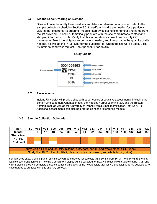# **2.6 Kit and Label Ordering on Demand**

Sites will have the ability to request kits and labels on demand at any time. Refer to the sample collection schedule (Section 3.0) to verify which kits are needed for a particular visit. In the "electronic kit ordering" module, start by selecting site number and name from the list provided. This will automatically populate with the site coordinator's contact and shipping information on file. Verify that this information is correct (and modify it if necessary). Select the kit types and/or labels needed, and then provide the quantity of kits needed, as well as the PPMI ID(s) for the subject(s) for whom the kits will be used. Click "Submit" to send your request. See Appendix F for details.





# **2.7 Assessments**

Indiana University will provide sites with paper copies of cognitive assessments, including the Benton Line Judgment Orientation test, the Hopkins Verbal Learning test, and the Boston Naming Test, as well as the University of Pennsylvania Smell Identification Test (UPSIT). Additional assessments can also be ordered using the kit ordering module.

# **3.0 Sample Collection Schedule**

| Visit                                                                                     |   |  |    |    |    |    |    |    |    | BL   V02   V04   V05   V06   V08   V10   V12   V13   V14   V15   V16   V17   V18   V19   V20 |    |     |           |     |     |
|-------------------------------------------------------------------------------------------|---|--|----|----|----|----|----|----|----|----------------------------------------------------------------------------------------------|----|-----|-----------|-----|-----|
| Month                                                                                     | 0 |  | 12 | 18 | 24 | 36 | 48 | 60 | 72 | 84                                                                                           | 96 | 108 | 120   132 | 144 | 156 |
| <b>Study Arm</b>                                                                          |   |  |    |    |    |    |    |    |    |                                                                                              |    |     |           |     |     |
| HC, PD                                                                                    |   |  |    |    |    |    |    |    |    |                                                                                              |    |     |           |     |     |
| Prodromal                                                                                 |   |  |    |    |    |    |    |    |    |                                                                                              |    |     |           |     |     |
|                                                                                           |   |  |    |    |    |    |    |    |    |                                                                                              |    |     |           |     |     |
| Study Visit Kit 1 (blood for RNA, plasma, buffy coat, serum, and whole blood; CSF, urine) |   |  |    |    |    |    |    |    |    |                                                                                              |    |     |           |     |     |
| Study Visit Kit 2 (blood for RNA, plasma, buffy coat, serum, and whole blood; urine)      |   |  |    |    |    |    |    |    |    |                                                                                              |    |     |           |     |     |

For approved sites, a single punch skin biopsy will be collected for subjects transitioning from PPMI 1.0 to PPMI at the first feasible post-transition visit. The single punch skin biopsy will be collected for newly enrolled PPMI subjects at BL, V06, and V10. Selected sites will complete a double punch skin biopsy at the next feasible visit for HC and idiopathic PD subjects who have agreed to participate in this ancillary protocol.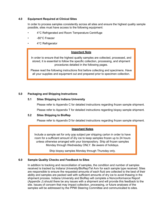### **4.0 Equipment Required at Clinical Sites**

In order to process samples consistently across all sites and ensure the highest quality sample possible, sites must have access to the following equipment:

- 4°C Refrigerated and Room Temperature Centrifuge
- -80°C Freezer
- 4°C Refrigerator

### **Important Note**

In order to ensure that the highest quality samples are collected, processed, and stored, it is essential to follow the specific collection, processing, and shipment procedures detailed in the following pages.

Please read the following instructions first before collecting and specimens. Have all your supplies and equipment out and prepared prior to specimen collection.

### **5.0 Packaging and Shipping Instructions**

# **5.1 Sites Shipping to Indiana University**

Please refer to Appendix C for detailed instructions regarding frozen sample shipment.

Please refer to Appendix T for detailed instructions regarding biopsy sample shipment.

### **5.2 Sites Shipping to BioRep**

Please refer to Appendix D for detailed instructions regarding frozen sample shipment.

### **Important Notes**

Include a sample set for only one subject per shipping carton in order to have room for a sufficient amount of dry ice to keep samples frozen up to 24 hours unless otherwise arranged with your biorepository. Ship all frozen samples Monday through Wednesday ONLY. Be aware of holidays.

Ship biopsy samples Monday through Thursday only.

### **6.0 Sample Quality Checks and Feedback to Sites**

In addition to tracking and reconciliation of samples, the condition and number of samples received is tracked by Indiana University/BioRep/Tel Aviv for each sample type received. Sites are responsible to ensure the requested amounts of each fluid are collected to the best of their ability and samples are packed well with sufficient amounts of dry ice to avoid thawing in the shipment process. Indiana University and BioRep will complete a Nonconformance Report (Appendix J) should there be any issues with a shipment and will provide this feedback to the site. Issues of concern that may impact collection, processing, or future analyses of the samples will be addressed by the PPMI Steering Committee and communicated to sites.